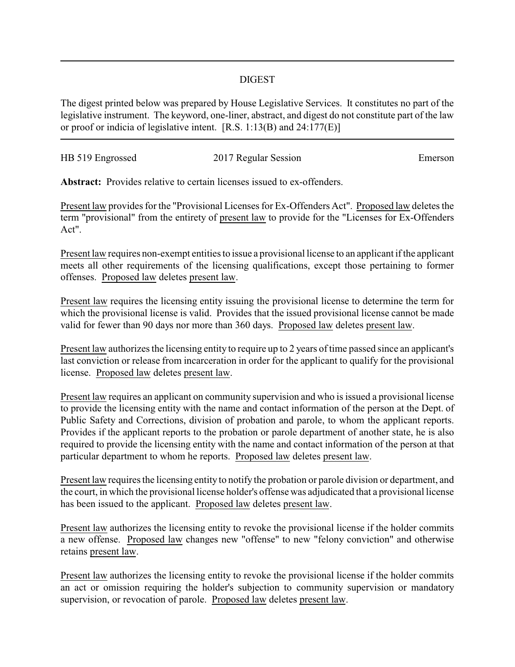## DIGEST

The digest printed below was prepared by House Legislative Services. It constitutes no part of the legislative instrument. The keyword, one-liner, abstract, and digest do not constitute part of the law or proof or indicia of legislative intent. [R.S. 1:13(B) and 24:177(E)]

| HB 519 Engrossed | 2017 Regular Session | Emerson |
|------------------|----------------------|---------|
|                  |                      |         |

**Abstract:** Provides relative to certain licenses issued to ex-offenders.

Present law provides for the "Provisional Licenses for Ex-Offenders Act". Proposed law deletes the term "provisional" from the entirety of present law to provide for the "Licenses for Ex-Offenders Act".

Present law requires non-exempt entities to issue a provisional license to an applicant if the applicant meets all other requirements of the licensing qualifications, except those pertaining to former offenses. Proposed law deletes present law.

Present law requires the licensing entity issuing the provisional license to determine the term for which the provisional license is valid. Provides that the issued provisional license cannot be made valid for fewer than 90 days nor more than 360 days. Proposed law deletes present law.

Present law authorizes the licensing entity to require up to 2 years of time passed since an applicant's last conviction or release from incarceration in order for the applicant to qualify for the provisional license. Proposed law deletes present law.

Present law requires an applicant on community supervision and who is issued a provisional license to provide the licensing entity with the name and contact information of the person at the Dept. of Public Safety and Corrections, division of probation and parole, to whom the applicant reports. Provides if the applicant reports to the probation or parole department of another state, he is also required to provide the licensing entity with the name and contact information of the person at that particular department to whom he reports. Proposed law deletes present law.

Present law requires the licensing entity to notify the probation or parole division or department, and the court, in which the provisional license holder's offense was adjudicated that a provisional license has been issued to the applicant. Proposed law deletes present law.

Present law authorizes the licensing entity to revoke the provisional license if the holder commits a new offense. Proposed law changes new "offense" to new "felony conviction" and otherwise retains present law.

Present law authorizes the licensing entity to revoke the provisional license if the holder commits an act or omission requiring the holder's subjection to community supervision or mandatory supervision, or revocation of parole. Proposed law deletes present law.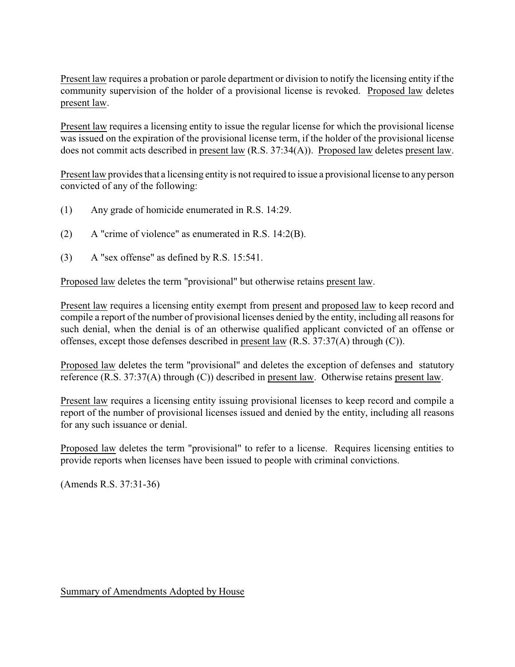Present law requires a probation or parole department or division to notify the licensing entity if the community supervision of the holder of a provisional license is revoked. Proposed law deletes present law.

Present law requires a licensing entity to issue the regular license for which the provisional license was issued on the expiration of the provisional license term, if the holder of the provisional license does not commit acts described in present law (R.S. 37:34(A)). Proposed law deletes present law.

Present law provides that a licensing entity is not required to issue a provisional license to any person convicted of any of the following:

- (1) Any grade of homicide enumerated in R.S. 14:29.
- (2) A "crime of violence" as enumerated in R.S. 14:2(B).
- (3) A "sex offense" as defined by R.S. 15:541.

Proposed law deletes the term "provisional" but otherwise retains present law.

Present law requires a licensing entity exempt from present and proposed law to keep record and compile a report of the number of provisional licenses denied by the entity, including all reasons for such denial, when the denial is of an otherwise qualified applicant convicted of an offense or offenses, except those defenses described in present law (R.S. 37:37(A) through (C)).

Proposed law deletes the term "provisional" and deletes the exception of defenses and statutory reference (R.S. 37:37(A) through (C)) described in present law. Otherwise retains present law.

Present law requires a licensing entity issuing provisional licenses to keep record and compile a report of the number of provisional licenses issued and denied by the entity, including all reasons for any such issuance or denial.

Proposed law deletes the term "provisional" to refer to a license. Requires licensing entities to provide reports when licenses have been issued to people with criminal convictions.

(Amends R.S. 37:31-36)